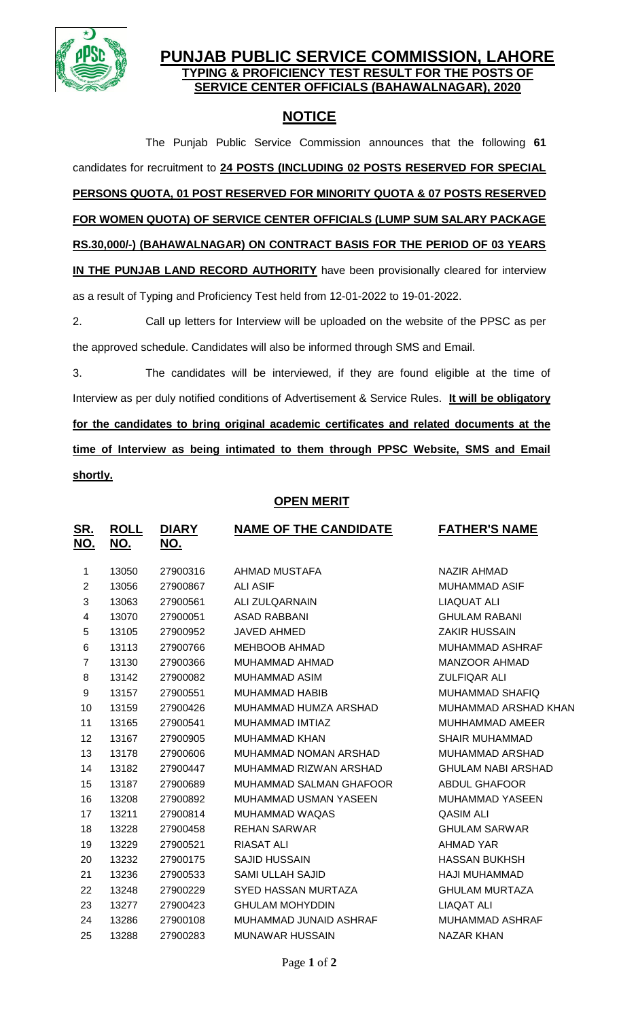

## **PUNJAB PUBLIC SERVICE COMMISSION, LAHORE TYPING & PROFICIENCY TEST RESULT FOR THE POSTS OF SERVICE CENTER OFFICIALS (BAHAWALNAGAR), 2020**

# **NOTICE**

The Punjab Public Service Commission announces that the following **61** candidates for recruitment to **24 POSTS (INCLUDING 02 POSTS RESERVED FOR SPECIAL PERSONS QUOTA, 01 POST RESERVED FOR MINORITY QUOTA & 07 POSTS RESERVED FOR WOMEN QUOTA) OF SERVICE CENTER OFFICIALS (LUMP SUM SALARY PACKAGE RS.30,000/-) (BAHAWALNAGAR) ON CONTRACT BASIS FOR THE PERIOD OF 03 YEARS IN THE PUNJAB LAND RECORD AUTHORITY** have been provisionally cleared for interview as a result of Typing and Proficiency Test held from 12-01-2022 to 19-01-2022.

2. Call up letters for Interview will be uploaded on the website of the PPSC as per the approved schedule. Candidates will also be informed through SMS and Email.

3. The candidates will be interviewed, if they are found eligible at the time of Interview as per duly notified conditions of Advertisement & Service Rules. **It will be obligatory for the candidates to bring original academic certificates and related documents at the time of Interview as being intimated to them through PPSC Website, SMS and Email shortly.**

### **OPEN MERIT**

| <u>SR.</u><br><u>NO.</u> | <u>ROLL</u><br><u>NO.</u> | <b>DIARY</b><br><u>NO.</u> | <b>NAME OF THE CANDIDATE</b> | <b>FATHER'S NAME</b>      |
|--------------------------|---------------------------|----------------------------|------------------------------|---------------------------|
| 1                        | 13050                     | 27900316                   | AHMAD MUSTAFA                | <b>NAZIR AHMAD</b>        |
| $\overline{2}$           | 13056                     | 27900867                   | <b>ALI ASIF</b>              | <b>MUHAMMAD ASIF</b>      |
| $\mathbf{3}$             | 13063                     | 27900561                   | <b>ALI ZULQARNAIN</b>        | <b>LIAQUAT ALI</b>        |
| $\overline{\mathbf{4}}$  | 13070                     | 27900051                   | <b>ASAD RABBANI</b>          | <b>GHULAM RABANI</b>      |
| 5                        | 13105                     | 27900952                   | JAVED AHMED                  | <b>ZAKIR HUSSAIN</b>      |
| 6                        | 13113                     | 27900766                   | <b>MEHBOOB AHMAD</b>         | <b>MUHAMMAD ASHRAF</b>    |
| $\overline{7}$           | 13130                     | 27900366                   | MUHAMMAD AHMAD               | <b>MANZOOR AHMAD</b>      |
| 8                        | 13142                     | 27900082                   | <b>MUHAMMAD ASIM</b>         | <b>ZULFIQAR ALI</b>       |
| 9                        | 13157                     | 27900551                   | <b>MUHAMMAD HABIB</b>        | <b>MUHAMMAD SHAFIQ</b>    |
| 10                       | 13159                     | 27900426                   | MUHAMMAD HUMZA ARSHAD        | MUHAMMAD ARSHAD KHAN      |
| 11                       | 13165                     | 27900541                   | MUHAMMAD IMTIAZ              | <b>MUHHAMMAD AMEER</b>    |
| 12                       | 13167                     | 27900905                   | <b>MUHAMMAD KHAN</b>         | <b>SHAIR MUHAMMAD</b>     |
| 13                       | 13178                     | 27900606                   | MUHAMMAD NOMAN ARSHAD        | <b>MUHAMMAD ARSHAD</b>    |
| 14                       | 13182                     | 27900447                   | MUHAMMAD RIZWAN ARSHAD       | <b>GHULAM NABI ARSHAD</b> |
| 15                       | 13187                     | 27900689                   | MUHAMMAD SALMAN GHAFOOR      | ABDUL GHAFOOR             |
| 16                       | 13208                     | 27900892                   | <b>MUHAMMAD USMAN YASEEN</b> | <b>MUHAMMAD YASEEN</b>    |
| 17                       | 13211                     | 27900814                   | MUHAMMAD WAQAS               | <b>QASIM ALI</b>          |
| 18                       | 13228                     | 27900458                   | <b>REHAN SARWAR</b>          | <b>GHULAM SARWAR</b>      |
| 19                       | 13229                     | 27900521                   | <b>RIASAT ALI</b>            | <b>AHMAD YAR</b>          |
| 20                       | 13232                     | 27900175                   | <b>SAJID HUSSAIN</b>         | <b>HASSAN BUKHSH</b>      |
| 21                       | 13236                     | 27900533                   | SAMI ULLAH SAJID             | HAJI MUHAMMAD             |
| 22                       | 13248                     | 27900229                   | <b>SYED HASSAN MURTAZA</b>   | <b>GHULAM MURTAZA</b>     |
| 23                       | 13277                     | 27900423                   | <b>GHULAM MOHYDDIN</b>       | <b>LIAQAT ALI</b>         |
| 24                       | 13286                     | 27900108                   | MUHAMMAD JUNAID ASHRAF       | <b>MUHAMMAD ASHRAF</b>    |
| 25                       | 13288                     | 27900283                   | <b>MUNAWAR HUSSAIN</b>       | <b>NAZAR KHAN</b>         |